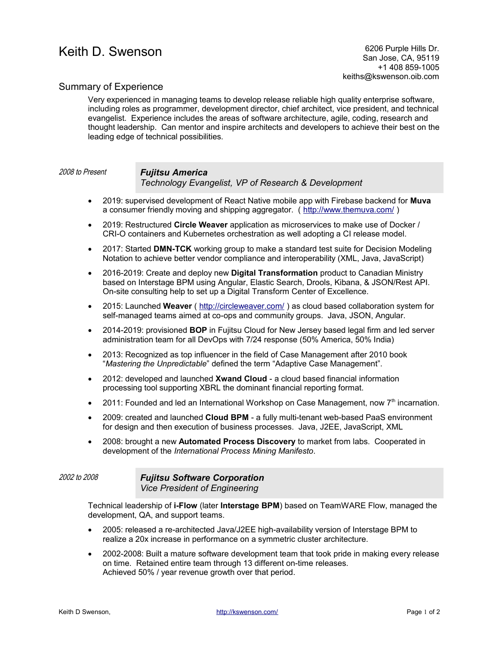## Summary of Experience

Very experienced in managing teams to develop release reliable high quality enterprise software, including roles as programmer, development director, chief architect, vice president, and technical evangelist. Experience includes the areas of software architecture, agile, coding, research and thought leadership. Can mentor and inspire architects and developers to achieve their best on the leading edge of technical possibilities.

# 2008 to Present *Fujitsu America*

*Technology Evangelist, VP of Research & Development*

- 2019: supervised development of React Native mobile app with Firebase backend for **Muva** a consumer friendly moving and shipping aggregator. (<http://www.themuva.com/>)
- 2019: Restructured **Circle Weaver** application as microservices to make use of Docker / CRI-O containers and Kubernetes orchestration as well adopting a CI release model.
- 2017: Started **DMN-TCK** working group to make a standard test suite for Decision Modeling Notation to achieve better vendor compliance and interoperability (XML, Java, JavaScript)
- 2016-2019: Create and deploy new **Digital Transformation** product to Canadian Ministry based on Interstage BPM using Angular, Elastic Search, Drools, Kibana, & JSON/Rest API. On-site consulting help to set up a Digital Transform Center of Excellence.
- 2015: Launched **Weaver** (<http://circleweaver.com/>) as cloud based collaboration system for self-managed teams aimed at co-ops and community groups. Java, JSON, Angular.
- 2014-2019: provisioned **BOP** in Fujitsu Cloud for New Jersey based legal firm and led server administration team for all DevOps with 7/24 response (50% America, 50% India)
- 2013: Recognized as top influencer in the field of Case Management after 2010 book "*Mastering the Unpredictable*" defined the term "Adaptive Case Management".
- 2012: developed and launched **Xwand Cloud** a cloud based financial information processing tool supporting XBRL the dominant financial reporting format.
- $\bullet$  2011: Founded and led an International Workshop on Case Management, now  $7<sup>th</sup>$  incarnation.
- 2009: created and launched **Cloud BPM** a fully multi-tenant web-based PaaS environment for design and then execution of business processes. Java, J2EE, JavaScript, XML
- 2008: brought a new **Automated Process Discovery** to market from labs. Cooperated in development of the *International Process Mining Manifesto*.

#### 2002 to 2008 *Fujitsu Software Corporation Vice President of Engineering*

Technical leadership of **i-Flow** (later **Interstage BPM**) based on TeamWARE Flow, managed the development, QA, and support teams.

- 2005: released a re-architected Java/J2EE high-availability version of Interstage BPM to realize a 20x increase in performance on a symmetric cluster architecture.
- 2002-2008: Built a mature software development team that took pride in making every release on time. Retained entire team through 13 different on-time releases. Achieved 50% / year revenue growth over that period.